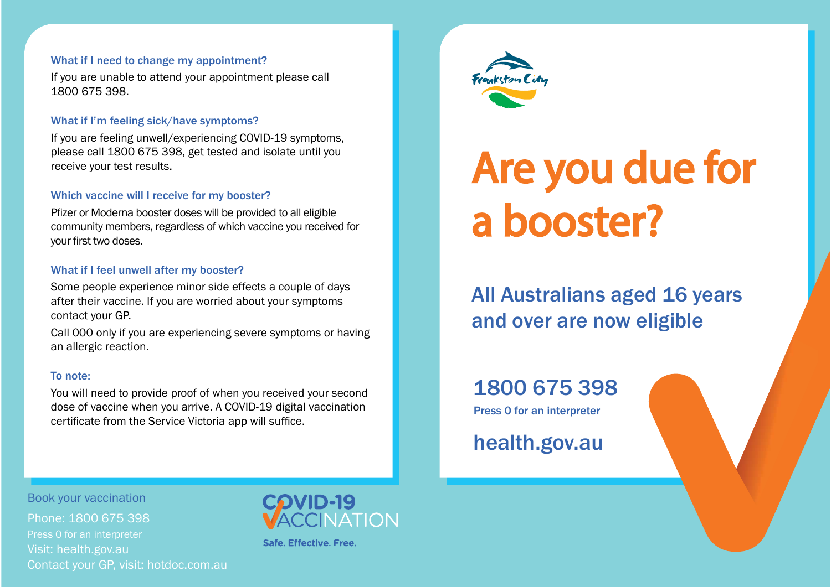#### What if I need to change my appointment?

If you are unable to attend your appointment please call 1800 675 398.

#### What if I'm feeling sick/have symptoms?

If you are feeling unwell/experiencing COVID-19 symptoms, please call 1800 675 398, get tested and isolate until you receive your test results.

#### Which vaccine will I receive for my booster?

Pfizer or Moderna booster doses will be provided to all eligible community members, regardless of which vaccine you received for your first two doses.

#### What if I feel unwell after my booster?

Some people experience minor side effects a couple of days after their vaccine. If you are worried about your symptoms contact your GP.

Call 000 only if you are experiencing severe symptoms or having an allergic reaction.

#### To note:

You will need to provide proof of when you received your second dose of vaccine when you arrive. A COVID-19 digital vaccination certificate from the Service Victoria app will suffice.



# Are you due for a booster?

All Australians aged 16 years and over are now eligible

# 1800 675 398

Press 0 for an interpreter

health.gov.au

Book your vaccination

Phone: 1800 675 398 Press 0 for an interpreter Visit: health.gov.au Contact your GP, visit: hotdoc.com.au



Safe, Effective, Free.